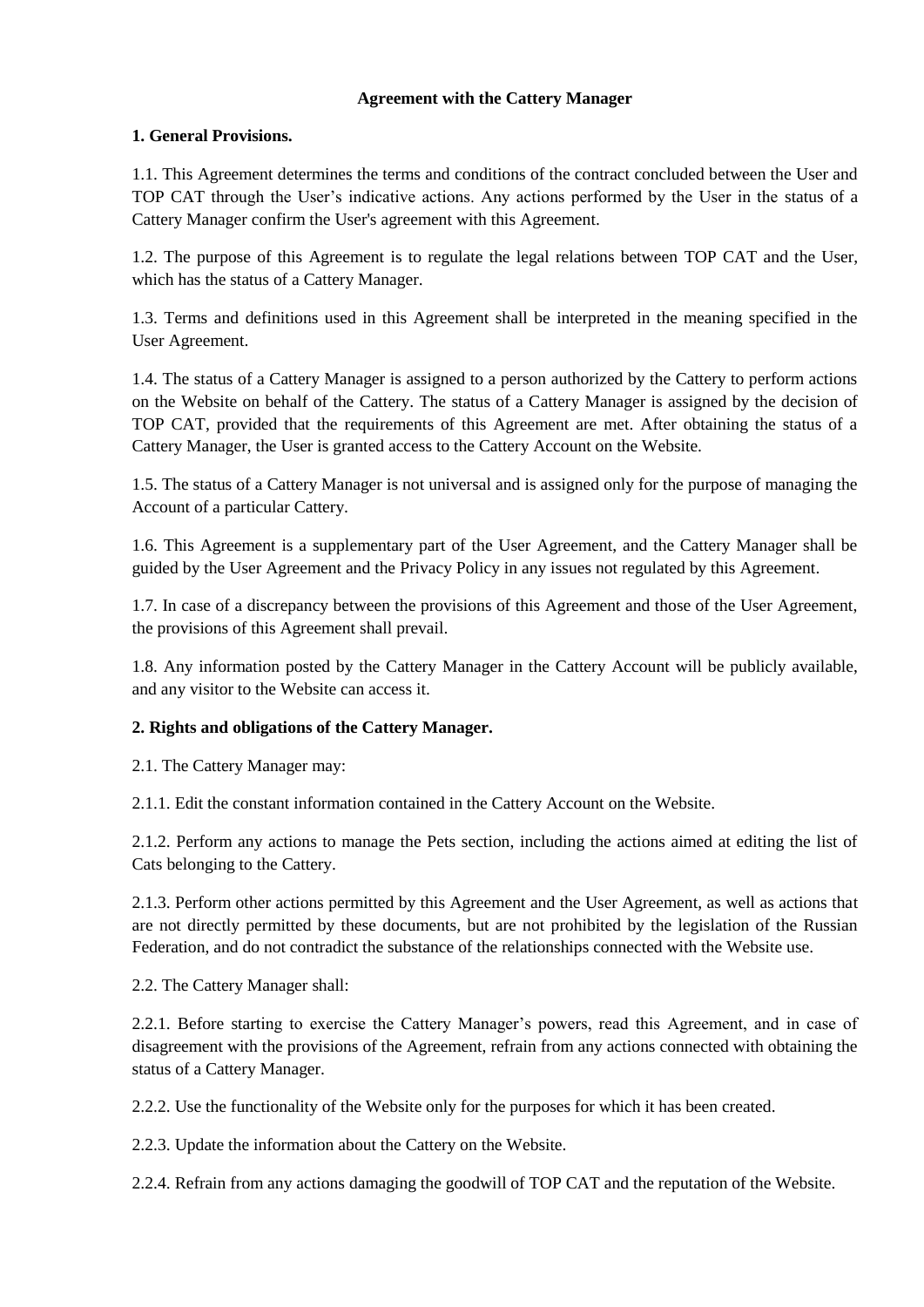## **Agreement with the Cattery Manager**

# **1. General Provisions.**

1.1. This Agreement determines the terms and conditions of the contract concluded between the User and TOP CAT through the User's indicative actions. Any actions performed by the User in the status of a Cattery Manager confirm the User's agreement with this Agreement.

1.2. The purpose of this Agreement is to regulate the legal relations between TOP CAT and the User, which has the status of a Cattery Manager.

1.3. Terms and definitions used in this Agreement shall be interpreted in the meaning specified in the User Agreement.

1.4. The status of a Cattery Manager is assigned to a person authorized by the Cattery to perform actions on the Website on behalf of the Cattery. The status of a Cattery Manager is assigned by the decision of TOP CAT, provided that the requirements of this Agreement are met. After obtaining the status of a Cattery Manager, the User is granted access to the Cattery Account on the Website.

1.5. The status of a Cattery Manager is not universal and is assigned only for the purpose of managing the Account of a particular Cattery.

1.6. This Agreement is a supplementary part of the User Agreement, and the Cattery Manager shall be guided by the User Agreement and the Privacy Policy in any issues not regulated by this Agreement.

1.7. In case of a discrepancy between the provisions of this Agreement and those of the User Agreement, the provisions of this Agreement shall prevail.

1.8. Any information posted by the Cattery Manager in the Cattery Account will be publicly available, and any visitor to the Website can access it.

## **2. Rights and obligations of the Cattery Manager.**

2.1. The Cattery Manager may:

2.1.1. Edit the constant information contained in the Cattery Account on the Website.

2.1.2. Perform any actions to manage the Pets section, including the actions aimed at editing the list of Cats belonging to the Cattery.

2.1.3. Perform other actions permitted by this Agreement and the User Agreement, as well as actions that are not directly permitted by these documents, but are not prohibited by the legislation of the Russian Federation, and do not contradict the substance of the relationships connected with the Website use.

2.2. The Cattery Manager shall:

2.2.1. Before starting to exercise the Cattery Manager's powers, read this Agreement, and in case of disagreement with the provisions of the Agreement, refrain from any actions connected with obtaining the status of a Cattery Manager.

2.2.2. Use the functionality of the Website only for the purposes for which it has been created.

2.2.3. Update the information about the Cattery on the Website.

2.2.4. Refrain from any actions damaging the goodwill of TOP CAT and the reputation of the Website.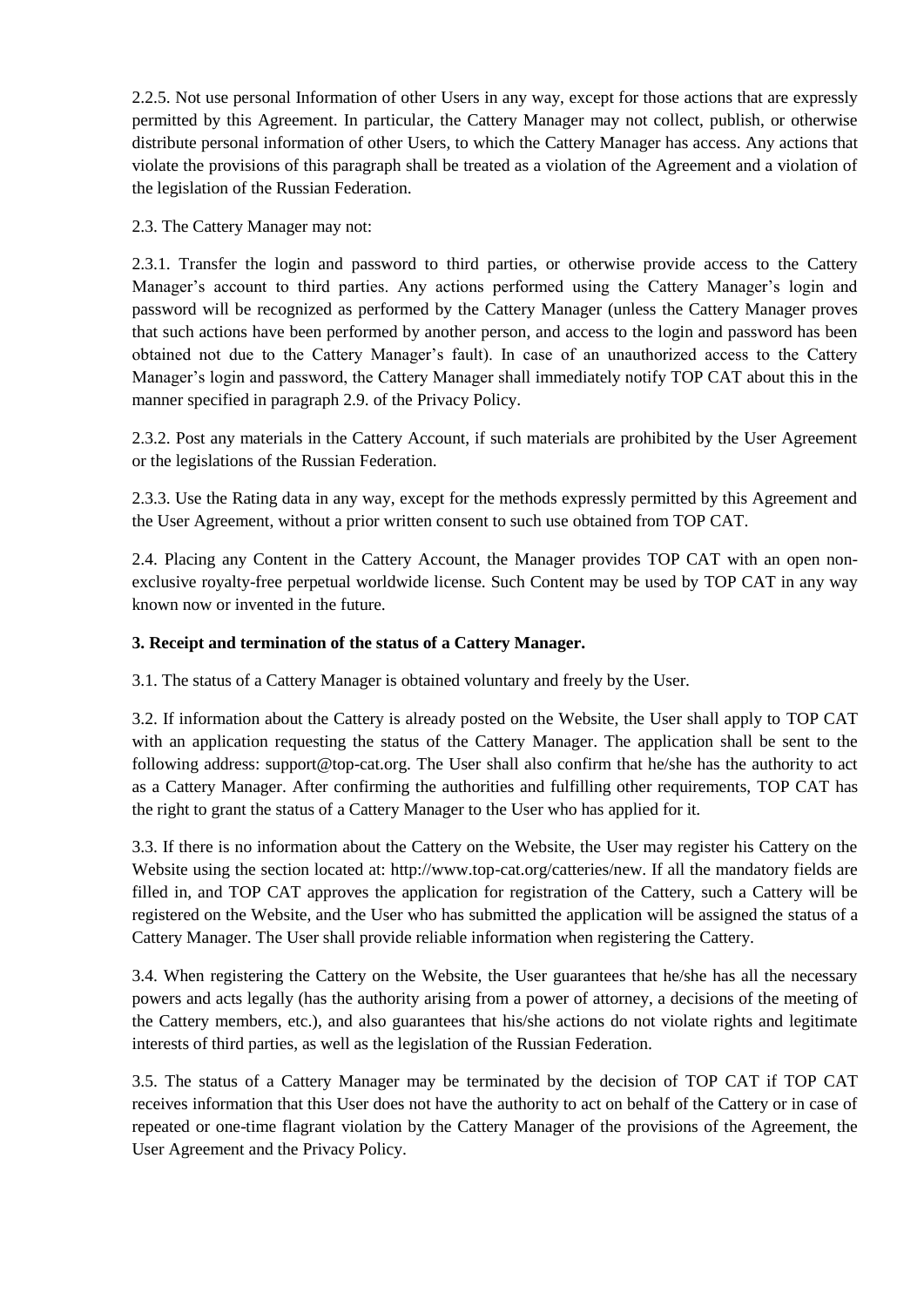2.2.5. Not use personal Information of other Users in any way, except for those actions that are expressly permitted by this Agreement. In particular, the Cattery Manager may not collect, publish, or otherwise distribute personal information of other Users, to which the Cattery Manager has access. Any actions that violate the provisions of this paragraph shall be treated as a violation of the Agreement and a violation of the legislation of the Russian Federation.

2.3. The Cattery Manager may not:

2.3.1. Transfer the login and password to third parties, or otherwise provide access to the Cattery Manager's account to third parties. Any actions performed using the Cattery Manager's login and password will be recognized as performed by the Cattery Manager (unless the Cattery Manager proves that such actions have been performed by another person, and access to the login and password has been obtained not due to the Cattery Manager's fault). In case of an unauthorized access to the Cattery Manager's login and password, the Cattery Manager shall immediately notify TOP CAT about this in the manner specified in paragraph 2.9. of the Privacy Policy.

2.3.2. Post any materials in the Cattery Account, if such materials are prohibited by the User Agreement or the legislations of the Russian Federation.

2.3.3. Use the Rating data in any way, except for the methods expressly permitted by this Agreement and the User Agreement, without a prior written consent to such use obtained from TOP CAT.

2.4. Placing any Content in the Cattery Account, the Manager provides TOP CAT with an open nonexclusive royalty-free perpetual worldwide license. Such Content may be used by TOP CAT in any way known now or invented in the future.

# **3. Receipt and termination of the status of a Cattery Manager.**

3.1. The status of a Cattery Manager is obtained voluntary and freely by the User.

3.2. If information about the Cattery is already posted on the Website, the User shall apply to TOP CAT with an application requesting the status of the Cattery Manager. The application shall be sent to the following address: support@top-cat.org. The User shall also confirm that he/she has the authority to act as a Cattery Manager. After confirming the authorities and fulfilling other requirements, TOP CAT has the right to grant the status of a Cattery Manager to the User who has applied for it.

3.3. If there is no information about the Cattery on the Website, the User may register his Cattery on the Website using the section located at: http://www.top-cat.org/catteries/new. If all the mandatory fields are filled in, and TOP CAT approves the application for registration of the Cattery, such a Cattery will be registered on the Website, and the User who has submitted the application will be assigned the status of a Cattery Manager. The User shall provide reliable information when registering the Cattery.

3.4. When registering the Cattery on the Website, the User guarantees that he/she has all the necessary powers and acts legally (has the authority arising from a power of attorney, a decisions of the meeting of the Cattery members, etc.), and also guarantees that his/she actions do not violate rights and legitimate interests of third parties, as well as the legislation of the Russian Federation.

3.5. The status of a Cattery Manager may be terminated by the decision of TOP CAT if TOP CAT receives information that this User does not have the authority to act on behalf of the Cattery or in case of repeated or one-time flagrant violation by the Cattery Manager of the provisions of the Agreement, the User Agreement and the Privacy Policy.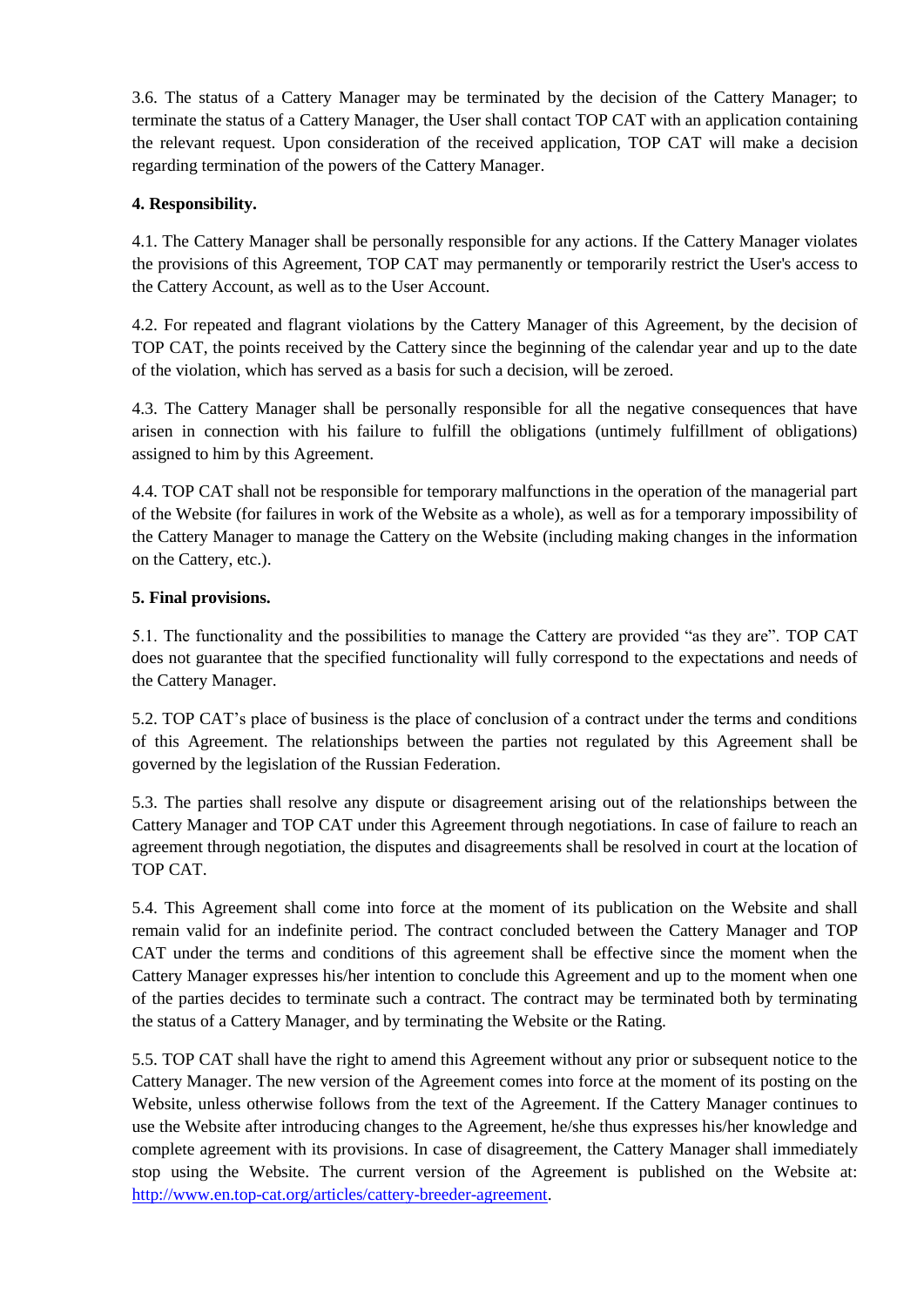3.6. The status of a Cattery Manager may be terminated by the decision of the Cattery Manager; to terminate the status of a Cattery Manager, the User shall contact TOP CAT with an application containing the relevant request. Upon consideration of the received application, TOP CAT will make a decision regarding termination of the powers of the Cattery Manager.

# **4. Responsibility.**

4.1. The Cattery Manager shall be personally responsible for any actions. If the Cattery Manager violates the provisions of this Agreement, TOP CAT may permanently or temporarily restrict the User's access to the Cattery Account, as well as to the User Account.

4.2. For repeated and flagrant violations by the Cattery Manager of this Agreement, by the decision of TOP CAT, the points received by the Cattery since the beginning of the calendar year and up to the date of the violation, which has served as a basis for such a decision, will be zeroed.

4.3. The Cattery Manager shall be personally responsible for all the negative consequences that have arisen in connection with his failure to fulfill the obligations (untimely fulfillment of obligations) assigned to him by this Agreement.

4.4. TOP CAT shall not be responsible for temporary malfunctions in the operation of the managerial part of the Website (for failures in work of the Website as a whole), as well as for a temporary impossibility of the Cattery Manager to manage the Cattery on the Website (including making changes in the information on the Cattery, etc.).

## **5. Final provisions.**

5.1. The functionality and the possibilities to manage the Cattery are provided "as they are". TOP CAT does not guarantee that the specified functionality will fully correspond to the expectations and needs of the Cattery Manager.

5.2. TOP CAT's place of business is the place of conclusion of a contract under the terms and conditions of this Agreement. The relationships between the parties not regulated by this Agreement shall be governed by the legislation of the Russian Federation.

5.3. The parties shall resolve any dispute or disagreement arising out of the relationships between the Cattery Manager and TOP CAT under this Agreement through negotiations. In case of failure to reach an agreement through negotiation, the disputes and disagreements shall be resolved in court at the location of TOP CAT.

5.4. This Agreement shall come into force at the moment of its publication on the Website and shall remain valid for an indefinite period. The contract concluded between the Cattery Manager and TOP CAT under the terms and conditions of this agreement shall be effective since the moment when the Cattery Manager expresses his/her intention to conclude this Agreement and up to the moment when one of the parties decides to terminate such a contract. The contract may be terminated both by terminating the status of a Cattery Manager, and by terminating the Website or the Rating.

5.5. TOP CAT shall have the right to amend this Agreement without any prior or subsequent notice to the Cattery Manager. The new version of the Agreement comes into force at the moment of its posting on the Website, unless otherwise follows from the text of the Agreement. If the Cattery Manager continues to use the Website after introducing changes to the Agreement, he/she thus expresses his/her knowledge and complete agreement with its provisions. In case of disagreement, the Cattery Manager shall immediately stop using the Website. The current version of the Agreement is published on the Website at: [http://www.en.top-cat.org/articles/cattery-breeder-agreement.](http://www.en.top-cat.org/articles/cattery-breeder-agreement)